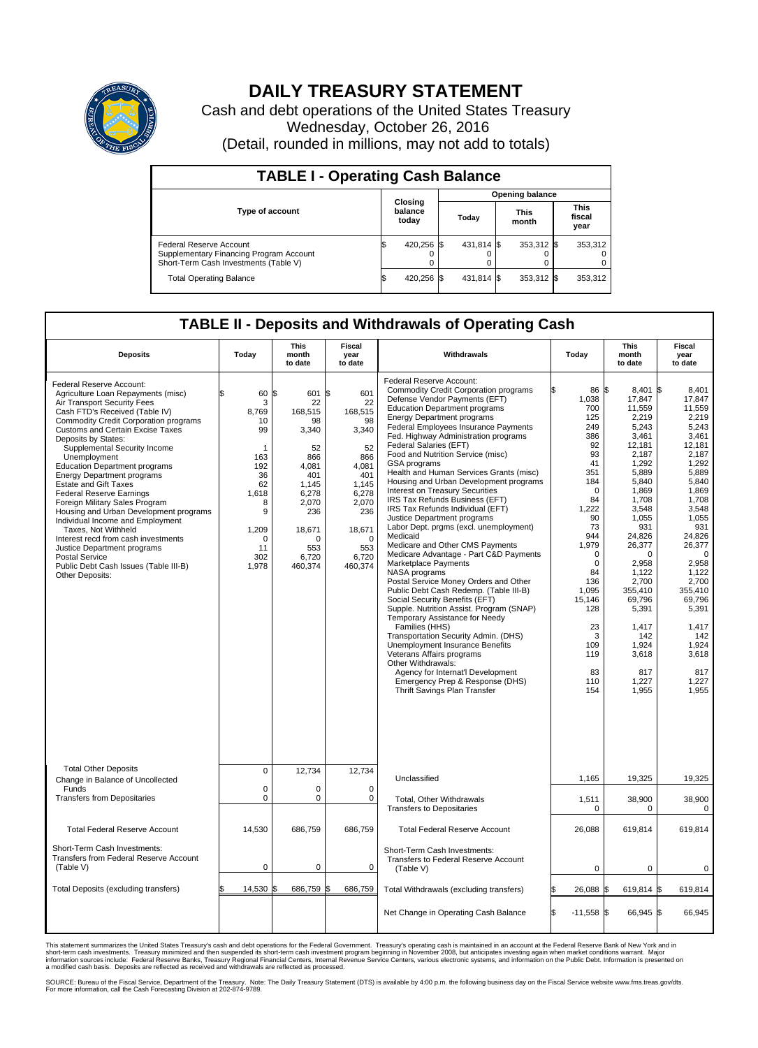

## **DAILY TREASURY STATEMENT**

Cash and debt operations of the United States Treasury Wednesday, October 26, 2016 (Detail, rounded in millions, may not add to totals)

| <b>TABLE I - Operating Cash Balance</b>                                                                     |                             |            |       |                        |                      |              |                               |         |  |  |  |
|-------------------------------------------------------------------------------------------------------------|-----------------------------|------------|-------|------------------------|----------------------|--------------|-------------------------------|---------|--|--|--|
|                                                                                                             |                             |            |       | <b>Opening balance</b> |                      |              |                               |         |  |  |  |
| <b>Type of account</b>                                                                                      | Closing<br>balance<br>today |            | Today |                        | <b>This</b><br>month |              | <b>This</b><br>fiscal<br>year |         |  |  |  |
| Federal Reserve Account<br>Supplementary Financing Program Account<br>Short-Term Cash Investments (Table V) |                             | 420,256 \$ |       | 431,814 \$             |                      | $353,312$ \$ |                               | 353,312 |  |  |  |
| <b>Total Operating Balance</b>                                                                              | IЭ                          | 420,256 \$ |       | 431,814 \$             |                      | 353,312 \$   |                               | 353,312 |  |  |  |

## **TABLE II - Deposits and Withdrawals of Operating Cash**

| <b>Deposits</b>                                                                                                                                                                                                                                                                                                                                                                                                                                                                                                                                                                                                                                                                                                                              | Today                                                                                                                              | <b>This</b><br>month<br>to date                                                                                                                        | <b>Fiscal</b><br>year<br>to date                                                                                                                       | Withdrawals                                                                                                                                                                                                                                                                                                                                                                                                                                                                                                                                                                                                                                                                                                                                                                                                                                                                                                                                                                                                                                                                                                                                                                                                               | Today                                                                                                                                                                                                                                                  | <b>This</b><br>month<br>to date                                                                                                                                                                                                                                                            | Fiscal<br>year<br>to date                                                                                                                                                                                                                                                                                   |
|----------------------------------------------------------------------------------------------------------------------------------------------------------------------------------------------------------------------------------------------------------------------------------------------------------------------------------------------------------------------------------------------------------------------------------------------------------------------------------------------------------------------------------------------------------------------------------------------------------------------------------------------------------------------------------------------------------------------------------------------|------------------------------------------------------------------------------------------------------------------------------------|--------------------------------------------------------------------------------------------------------------------------------------------------------|--------------------------------------------------------------------------------------------------------------------------------------------------------|---------------------------------------------------------------------------------------------------------------------------------------------------------------------------------------------------------------------------------------------------------------------------------------------------------------------------------------------------------------------------------------------------------------------------------------------------------------------------------------------------------------------------------------------------------------------------------------------------------------------------------------------------------------------------------------------------------------------------------------------------------------------------------------------------------------------------------------------------------------------------------------------------------------------------------------------------------------------------------------------------------------------------------------------------------------------------------------------------------------------------------------------------------------------------------------------------------------------------|--------------------------------------------------------------------------------------------------------------------------------------------------------------------------------------------------------------------------------------------------------|--------------------------------------------------------------------------------------------------------------------------------------------------------------------------------------------------------------------------------------------------------------------------------------------|-------------------------------------------------------------------------------------------------------------------------------------------------------------------------------------------------------------------------------------------------------------------------------------------------------------|
| Federal Reserve Account:<br>Agriculture Loan Repayments (misc)<br>Air Transport Security Fees<br>Cash FTD's Received (Table IV)<br><b>Commodity Credit Corporation programs</b><br><b>Customs and Certain Excise Taxes</b><br>Deposits by States:<br>Supplemental Security Income<br>Unemployment<br><b>Education Department programs</b><br><b>Energy Department programs</b><br><b>Estate and Gift Taxes</b><br><b>Federal Reserve Earnings</b><br>Foreign Military Sales Program<br>Housing and Urban Development programs<br>Individual Income and Employment<br>Taxes. Not Withheld<br>Interest recd from cash investments<br>Justice Department programs<br>Postal Service<br>Public Debt Cash Issues (Table III-B)<br>Other Deposits: | \$<br>60<br>3<br>8.769<br>10<br>99<br>1<br>163<br>192<br>36<br>62<br>1,618<br>8<br>9<br>1,209<br>$\mathbf 0$<br>11<br>302<br>1,978 | 601 \$<br>1\$<br>22<br>168,515<br>98<br>3,340<br>52<br>866<br>4.081<br>401<br>1,145<br>6,278<br>2,070<br>236<br>18,671<br>O<br>553<br>6,720<br>460,374 | 601<br>22<br>168,515<br>98<br>3,340<br>52<br>866<br>4.081<br>401<br>1,145<br>6,278<br>2,070<br>236<br>18,671<br>$\mathbf 0$<br>553<br>6,720<br>460,374 | Federal Reserve Account:<br><b>Commodity Credit Corporation programs</b><br>Defense Vendor Payments (EFT)<br><b>Education Department programs</b><br><b>Energy Department programs</b><br>Federal Employees Insurance Payments<br>Fed. Highway Administration programs<br>Federal Salaries (EFT)<br>Food and Nutrition Service (misc)<br>GSA programs<br>Health and Human Services Grants (misc)<br>Housing and Urban Development programs<br>Interest on Treasury Securities<br>IRS Tax Refunds Business (EFT)<br>IRS Tax Refunds Individual (EFT)<br>Justice Department programs<br>Labor Dept. prgms (excl. unemployment)<br>Medicaid<br>Medicare and Other CMS Payments<br>Medicare Advantage - Part C&D Payments<br>Marketplace Payments<br>NASA programs<br>Postal Service Money Orders and Other<br>Public Debt Cash Redemp. (Table III-B)<br>Social Security Benefits (EFT)<br>Supple. Nutrition Assist. Program (SNAP)<br>Temporary Assistance for Needy<br>Families (HHS)<br>Transportation Security Admin. (DHS)<br>Unemployment Insurance Benefits<br>Veterans Affairs programs<br>Other Withdrawals:<br>Agency for Internat'l Development<br>Emergency Prep & Response (DHS)<br>Thrift Savings Plan Transfer | 86 \$<br>1,038<br>700<br>125<br>249<br>386<br>92<br>93<br>41<br>351<br>184<br>$\mathbf 0$<br>84<br>1,222<br>90<br>73<br>944<br>1,979<br>$\mathbf 0$<br>$\mathbf 0$<br>84<br>136<br>1,095<br>15,146<br>128<br>23<br>3<br>109<br>119<br>83<br>110<br>154 | 8.401<br>17,847<br>11,559<br>2,219<br>5,243<br>3,461<br>12,181<br>2.187<br>1,292<br>5,889<br>5,840<br>1,869<br>1,708<br>3,548<br>1,055<br>931<br>24.826<br>26,377<br>0<br>2,958<br>1.122<br>2,700<br>355.410<br>69,796<br>5,391<br>1,417<br>142<br>1,924<br>3,618<br>817<br>1,227<br>1,955 | l\$<br>8.401<br>17,847<br>11,559<br>2,219<br>5,243<br>3,461<br>12.181<br>2.187<br>1,292<br>5.889<br>5,840<br>1,869<br>1,708<br>3,548<br>1,055<br>931<br>24.826<br>26,377<br>$\mathbf 0$<br>2,958<br>1.122<br>2,700<br>355.410<br>69,796<br>5,391<br>1,417<br>142<br>1,924<br>3,618<br>817<br>1,227<br>1.955 |
| <b>Total Other Deposits</b><br>Change in Balance of Uncollected                                                                                                                                                                                                                                                                                                                                                                                                                                                                                                                                                                                                                                                                              | $\mathbf 0$                                                                                                                        | 12,734                                                                                                                                                 | 12,734                                                                                                                                                 | Unclassified                                                                                                                                                                                                                                                                                                                                                                                                                                                                                                                                                                                                                                                                                                                                                                                                                                                                                                                                                                                                                                                                                                                                                                                                              | 1,165                                                                                                                                                                                                                                                  | 19,325                                                                                                                                                                                                                                                                                     | 19,325                                                                                                                                                                                                                                                                                                      |
| Funds<br><b>Transfers from Depositaries</b>                                                                                                                                                                                                                                                                                                                                                                                                                                                                                                                                                                                                                                                                                                  | $\mathbf 0$<br>$\mathbf 0$                                                                                                         | $\Omega$<br>0                                                                                                                                          | $\mathbf 0$<br>0                                                                                                                                       | Total, Other Withdrawals<br><b>Transfers to Depositaries</b>                                                                                                                                                                                                                                                                                                                                                                                                                                                                                                                                                                                                                                                                                                                                                                                                                                                                                                                                                                                                                                                                                                                                                              | 1,511<br>$\Omega$                                                                                                                                                                                                                                      | 38,900<br>$\Omega$                                                                                                                                                                                                                                                                         | 38,900<br>$\mathbf 0$                                                                                                                                                                                                                                                                                       |
| <b>Total Federal Reserve Account</b>                                                                                                                                                                                                                                                                                                                                                                                                                                                                                                                                                                                                                                                                                                         | 14,530                                                                                                                             | 686,759                                                                                                                                                | 686.759                                                                                                                                                | <b>Total Federal Reserve Account</b>                                                                                                                                                                                                                                                                                                                                                                                                                                                                                                                                                                                                                                                                                                                                                                                                                                                                                                                                                                                                                                                                                                                                                                                      | 26,088                                                                                                                                                                                                                                                 | 619,814                                                                                                                                                                                                                                                                                    | 619,814                                                                                                                                                                                                                                                                                                     |
| Short-Term Cash Investments:<br><b>Transfers from Federal Reserve Account</b><br>(Table V)                                                                                                                                                                                                                                                                                                                                                                                                                                                                                                                                                                                                                                                   | $\pmb{0}$                                                                                                                          | 0                                                                                                                                                      | 0                                                                                                                                                      | Short-Term Cash Investments:<br>Transfers to Federal Reserve Account<br>(Table V)                                                                                                                                                                                                                                                                                                                                                                                                                                                                                                                                                                                                                                                                                                                                                                                                                                                                                                                                                                                                                                                                                                                                         | $\mathbf 0$                                                                                                                                                                                                                                            | 0                                                                                                                                                                                                                                                                                          | 0                                                                                                                                                                                                                                                                                                           |
| Total Deposits (excluding transfers)                                                                                                                                                                                                                                                                                                                                                                                                                                                                                                                                                                                                                                                                                                         | 14,530                                                                                                                             | 686,759                                                                                                                                                | 686,759                                                                                                                                                | Total Withdrawals (excluding transfers)                                                                                                                                                                                                                                                                                                                                                                                                                                                                                                                                                                                                                                                                                                                                                                                                                                                                                                                                                                                                                                                                                                                                                                                   | 26,088                                                                                                                                                                                                                                                 | 619,814 \$<br>I\$                                                                                                                                                                                                                                                                          | 619,814                                                                                                                                                                                                                                                                                                     |
|                                                                                                                                                                                                                                                                                                                                                                                                                                                                                                                                                                                                                                                                                                                                              |                                                                                                                                    |                                                                                                                                                        |                                                                                                                                                        | Net Change in Operating Cash Balance                                                                                                                                                                                                                                                                                                                                                                                                                                                                                                                                                                                                                                                                                                                                                                                                                                                                                                                                                                                                                                                                                                                                                                                      | l\$<br>$-11,558$ \$                                                                                                                                                                                                                                    | 66,945 \$                                                                                                                                                                                                                                                                                  | 66,945                                                                                                                                                                                                                                                                                                      |

This statement summarizes the United States Treasury's cash and debt operations for the Federal Government. Treasury's operating cash is maintained in an account at the Federal Reserve Bank of New York and in<br>short-term ca

SOURCE: Bureau of the Fiscal Service, Department of the Treasury. Note: The Daily Treasury Statement (DTS) is available by 4:00 p.m. the following business day on the Fiscal Service website www.fms.treas.gov/dts.<br>For more